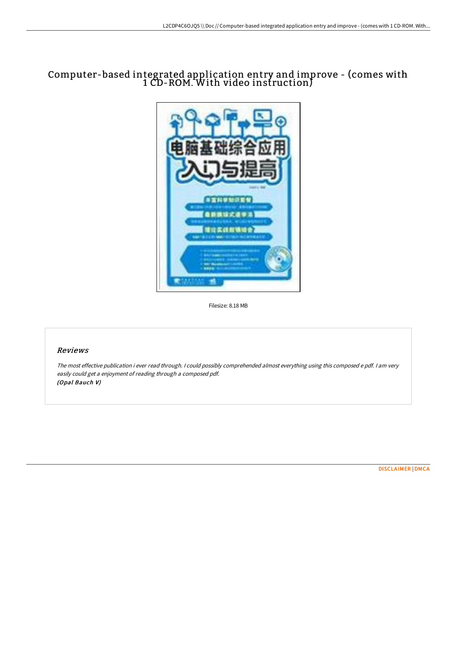# Computer-based integrated application entry and improve - (comes with 1 CD-ROM. With video instruction)



Filesize: 8.18 MB

# Reviews

The most effective publication i ever read through. <sup>I</sup> could possibly comprehended almost everything using this composed <sup>e</sup> pdf. <sup>I</sup> am very easily could get <sup>a</sup> enjoyment of reading through <sup>a</sup> composed pdf. (Opal Bauch V)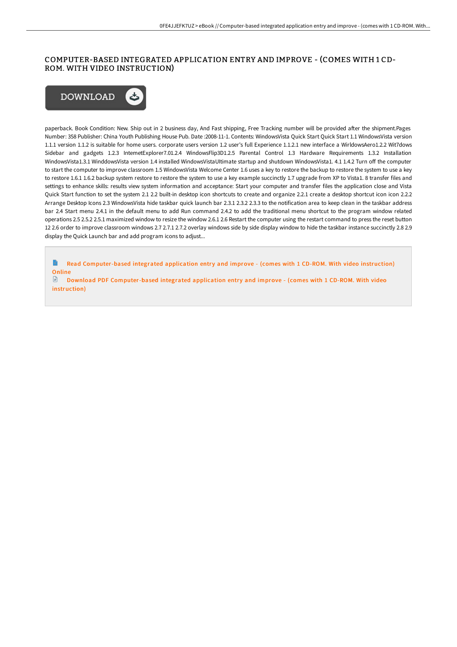## COMPUTER-BASED INTEGRATED APPLICATION ENTRY AND IMPROVE - (COMES WITH 1 CD-ROM. WITH VIDEO INSTRUCTION)



paperback. Book Condition: New. Ship out in 2 business day, And Fast shipping, Free Tracking number will be provided after the shipment.Pages Number: 358 Publisher: China Youth Publishing House Pub. Date :2008-11-1. Contents: WindowsVista Quick Start Quick Start 1.1 WindowsVista version 1.1.1 version 1.1.2 is suitable for home users. corporate users version 1.2 user's full Experience 1.1.2.1 new interface a WirldowsAero1.2.2 Wit7dows Sidebar and gadgets 1.2.3 IntemetExplorer7.01.2.4 WindowsFlip3D1.2.5 Parental Control 1.3 Hardware Requirements 1.3.2 Installation WindowsVista1.3.1 WinddowsVista version 1.4 installed WindowsVistaUItimate startup and shutdown WindowsVista1. 4.1 1.4.2 Turn off the computer to start the computer to improve classroom 1.5 WindowsVista Welcome Center 1.6 uses a key to restore the backup to restore the system to use a key to restore 1.6.1 1.6.2 backup system restore to restore the system to use a key example succinctly 1.7 upgrade from XP to Vista1. 8 transfer files and settings to enhance skills: results view system information and acceptance: Start your computer and transfer files the application close and Vista Quick Start function to set the system 2.1 2.2 built-in desktop icon shortcuts to create and organize 2.2.1 create a desktop shortcut icon icon 2.2.2 Arrange Desktop Icons 2.3 WindowsVista hide taskbar quick launch bar 2.3.1 2.3.2 2.3.3 to the notification area to keep clean in the taskbar address bar 2.4 Start menu 2.4.1 in the default menu to add Run command 2.4.2 to add the traditional menu shortcut to the program window related operations 2.5 2.5.2 2.5.1 maximized window to resize the window 2.6.1 2.6 Restart the computer using the restart command to press the reset button 12 2.6 order to improve classroom windows 2.7 2.7.1 2.7.2 overlay windows side by side display window to hide the taskbar instance succinctly 2.8 2.9 display the Quick Launch bar and add program icons to adjust...

E Read [Computer-based](http://albedo.media/computer-based-integrated-application-entry-and-.html) integrated application entry and improve - (comes with 1 CD-ROM. With video instruction) **Online** 

 $\mathbb{R}$ Download PDF [Computer-based](http://albedo.media/computer-based-integrated-application-entry-and-.html) integrated application entry and improve - (comes with 1 CD-ROM. With video instruction)